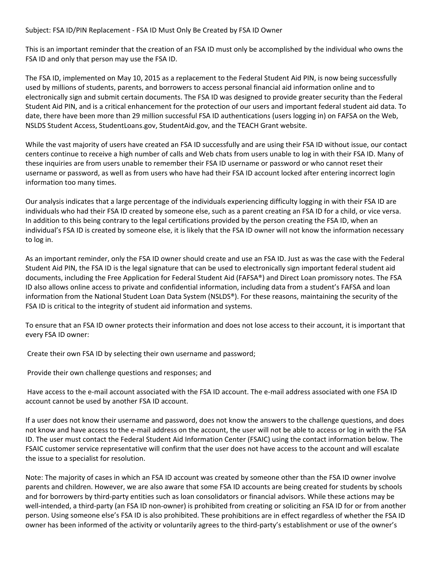## Subject: FSA ID/PIN Replacement ‐ FSA ID Must Only Be Created by FSA ID Owner

This is an important reminder that the creation of an FSA ID must only be accomplished by the individual who owns the FSA ID and only that person may use the FSA ID.

The FSA ID, implemented on May 10, 2015 as a replacement to the Federal Student Aid PIN, is now being successfully used by millions of students, parents, and borrowers to access personal financial aid information online and to electronically sign and submit certain documents. The FSA ID was designed to provide greater security than the Federal Student Aid PIN, and is a critical enhancement for the protection of our users and important federal student aid data. To date, there have been more than 29 million successful FSA ID authentications (users logging in) on FAFSA on the Web, NSLDS Student Access, StudentLoans.gov, StudentAid.gov, and the TEACH Grant website.

While the vast majority of users have created an FSA ID successfully and are using their FSA ID without issue, our contact centers continue to receive a high number of calls and Web chats from users unable to log in with their FSA ID. Many of these inquiries are from users unable to remember their FSA ID username or password or who cannot reset their username or password, as well as from users who have had their FSA ID account locked after entering incorrect login information too many times.

Our analysis indicates that a large percentage of the individuals experiencing difficulty logging in with their FSA ID are individuals who had their FSA ID created by someone else, such as a parent creating an FSA ID for a child, or vice versa. In addition to this being contrary to the legal certifications provided by the person creating the FSA ID, when an individual's FSA ID is created by someone else, it is likely that the FSA ID owner will not know the information necessary to log in.

As an important reminder, only the FSA ID owner should create and use an FSA ID. Just as was the case with the Federal Student Aid PIN, the FSA ID is the legal signature that can be used to electronically sign important federal student aid documents, including the Free Application for Federal Student Aid (FAFSA®) and Direct Loan promissory notes. The FSA ID also allows online access to private and confidential information, including data from a student's FAFSA and loan information from the National Student Loan Data System (NSLDS®). For these reasons, maintaining the security of the FSA ID is critical to the integrity of student aid information and systems.

To ensure that an FSA ID owner protects their information and does not lose access to their account, it is important that every FSA ID owner:

Create their own FSA ID by selecting their own username and password;

Provide their own challenge questions and responses; and

Have access to the e-mail account associated with the FSA ID account. The e-mail address associated with one FSA ID account cannot be used by another FSA ID account.

If a user does not know their username and password, does not know the answers to the challenge questions, and does not know and have access to the e-mail address on the account, the user will not be able to access or log in with the FSA ID. The user must contact the Federal Student Aid Information Center (FSAIC) using the contact information below. The FSAIC customer service representative will confirm that the user does not have access to the account and will escalate the issue to a specialist for resolution.

Note: The majority of cases in which an FSA ID account was created by someone other than the FSA ID owner involve parents and children. However, we are also aware that some FSA ID accounts are being created for students by schools and for borrowers by third‐party entities such as loan consolidators or financial advisors. While these actions may be well-intended, a third-party (an FSA ID non-owner) is prohibited from creating or soliciting an FSA ID for or from another person. Using someone else's FSA ID is also prohibited. These prohibitions are in effect regardless of whether the FSA ID owner has been informed of the activity or voluntarily agrees to the third‐party's establishment or use of the owner's